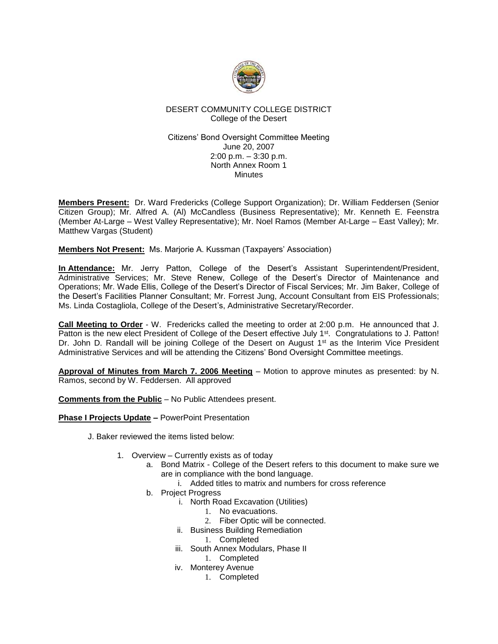

# DESERT COMMUNITY COLLEGE DISTRICT College of the Desert

#### Citizens' Bond Oversight Committee Meeting June 20, 2007 2:00 p.m. – 3:30 p.m. North Annex Room 1 **Minutes**

**Members Present:** Dr. Ward Fredericks (College Support Organization); Dr. William Feddersen (Senior Citizen Group); Mr. Alfred A. (Al) McCandless (Business Representative); Mr. Kenneth E. Feenstra (Member At-Large – West Valley Representative); Mr. Noel Ramos (Member At-Large – East Valley); Mr. Matthew Vargas (Student)

**Members Not Present:** Ms. Marjorie A. Kussman (Taxpayers' Association)

**In Attendance:** Mr. Jerry Patton, College of the Desert's Assistant Superintendent/President, Administrative Services; Mr. Steve Renew, College of the Desert's Director of Maintenance and Operations; Mr. Wade Ellis, College of the Desert's Director of Fiscal Services; Mr. Jim Baker, College of the Desert's Facilities Planner Consultant; Mr. Forrest Jung, Account Consultant from EIS Professionals; Ms. Linda Costagliola, College of the Desert's, Administrative Secretary/Recorder.

**Call Meeting to Order** - W. Fredericks called the meeting to order at 2:00 p.m. He announced that J. Patton is the new elect President of College of the Desert effective July 1<sup>st</sup>. Congratulations to J. Patton! Dr. John D. Randall will be joining College of the Desert on August 1<sup>st</sup> as the Interim Vice President Administrative Services and will be attending the Citizens' Bond Oversight Committee meetings.

**Approval of Minutes from March 7. 2006 Meeting** – Motion to approve minutes as presented: by N. Ramos, second by W. Feddersen. All approved

**Comments from the Public** – No Public Attendees present.

**Phase I Projects Update –** PowerPoint Presentation

J. Baker reviewed the items listed below:

- 1. Overview Currently exists as of today
	- a. Bond Matrix College of the Desert refers to this document to make sure we are in compliance with the bond language.
		- i. Added titles to matrix and numbers for cross reference
	- b. Project Progress
		- i. North Road Excavation (Utilities)
			- 1. No evacuations.
			- 2. Fiber Optic will be connected.
		- ii. Business Building Remediation
			- 1. Completed
		- iii. South Annex Modulars, Phase II
			- 1. Completed
		- iv. Monterey Avenue
			- 1. Completed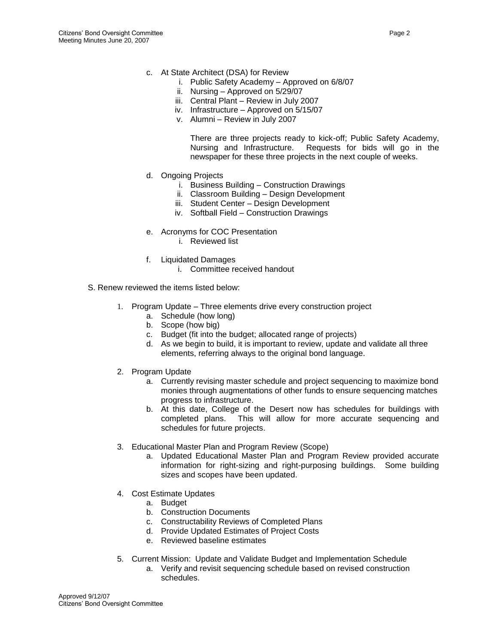- c. At State Architect (DSA) for Review
	- i. Public Safety Academy Approved on 6/8/07
	- ii. Nursing Approved on 5/29/07
	- iii. Central Plant Review in July 2007
	- iv. Infrastructure Approved on 5/15/07
	- v. Alumni Review in July 2007

There are three projects ready to kick-off; Public Safety Academy, Nursing and Infrastructure. Requests for bids will go in the newspaper for these three projects in the next couple of weeks.

- d. Ongoing Projects
	- i. Business Building Construction Drawings
	- ii. Classroom Building Design Development
	- iii. Student Center Design Development
	- iv. Softball Field Construction Drawings
- e. Acronyms for COC Presentation
	- i. Reviewed list
- f. Liquidated Damages
	- i. Committee received handout
- S. Renew reviewed the items listed below:
	- 1. Program Update Three elements drive every construction project
		- a. Schedule (how long)
		- b. Scope (how big)
		- c. Budget (fit into the budget; allocated range of projects)
		- d. As we begin to build, it is important to review, update and validate all three elements, referring always to the original bond language.
	- 2. Program Update
		- a. Currently revising master schedule and project sequencing to maximize bond monies through augmentations of other funds to ensure sequencing matches progress to infrastructure.
		- b. At this date, College of the Desert now has schedules for buildings with completed plans. This will allow for more accurate sequencing and schedules for future projects.
	- 3. Educational Master Plan and Program Review (Scope)
		- a. Updated Educational Master Plan and Program Review provided accurate information for right-sizing and right-purposing buildings. Some building sizes and scopes have been updated.
	- 4. Cost Estimate Updates
		- a. Budget
		- b. Construction Documents
		- c. Constructability Reviews of Completed Plans
		- d. Provide Updated Estimates of Project Costs
		- e. Reviewed baseline estimates
	- 5. Current Mission: Update and Validate Budget and Implementation Schedule
		- a. Verify and revisit sequencing schedule based on revised construction schedules.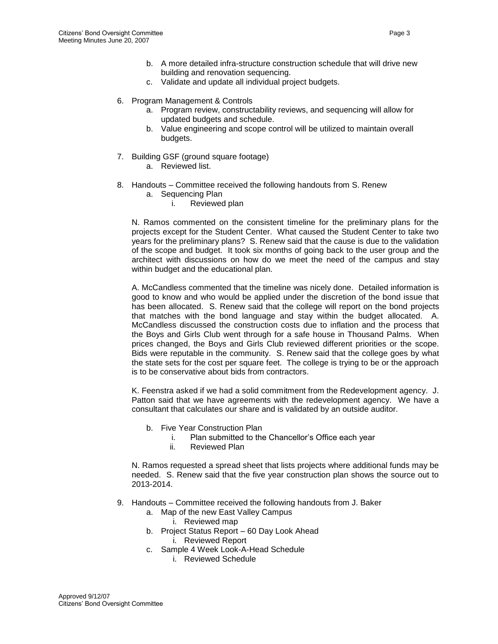- b. A more detailed infra-structure construction schedule that will drive new building and renovation sequencing.
- c. Validate and update all individual project budgets.
- 6. Program Management & Controls
	- a. Program review, constructability reviews, and sequencing will allow for updated budgets and schedule.
	- b. Value engineering and scope control will be utilized to maintain overall budgets.
- 7. Building GSF (ground square footage)
	- a. Reviewed list.
- 8. Handouts Committee received the following handouts from S. Renew
	- a. Sequencing Plan
		- i. Reviewed plan

N. Ramos commented on the consistent timeline for the preliminary plans for the projects except for the Student Center. What caused the Student Center to take two years for the preliminary plans? S. Renew said that the cause is due to the validation of the scope and budget. It took six months of going back to the user group and the architect with discussions on how do we meet the need of the campus and stay within budget and the educational plan.

A. McCandless commented that the timeline was nicely done. Detailed information is good to know and who would be applied under the discretion of the bond issue that has been allocated. S. Renew said that the college will report on the bond projects that matches with the bond language and stay within the budget allocated. A. McCandless discussed the construction costs due to inflation and the process that the Boys and Girls Club went through for a safe house in Thousand Palms. When prices changed, the Boys and Girls Club reviewed different priorities or the scope. Bids were reputable in the community. S. Renew said that the college goes by what the state sets for the cost per square feet. The college is trying to be or the approach is to be conservative about bids from contractors.

K. Feenstra asked if we had a solid commitment from the Redevelopment agency. J. Patton said that we have agreements with the redevelopment agency. We have a consultant that calculates our share and is validated by an outside auditor.

- b. Five Year Construction Plan
	- i. Plan submitted to the Chancellor's Office each year
	- ii. Reviewed Plan

N. Ramos requested a spread sheet that lists projects where additional funds may be needed. S. Renew said that the five year construction plan shows the source out to 2013-2014.

- 9. Handouts Committee received the following handouts from J. Baker
	- a. Map of the new East Valley Campus
		- i. Reviewed map
	- b. Project Status Report 60 Day Look Ahead i. Reviewed Report
	- c. Sample 4 Week Look-A-Head Schedule
		- i. Reviewed Schedule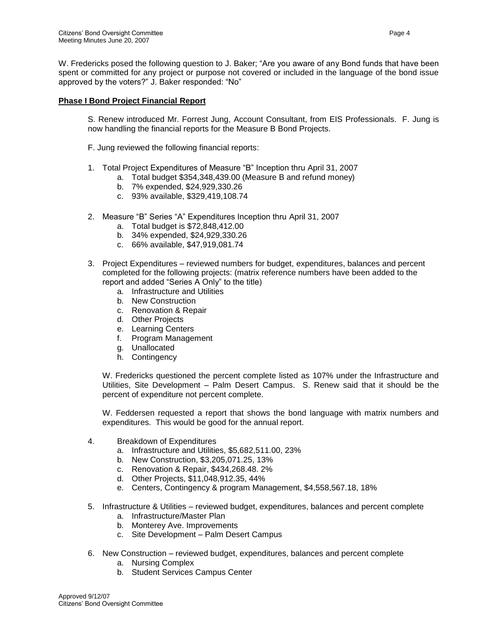W. Fredericks posed the following question to J. Baker; "Are you aware of any Bond funds that have been spent or committed for any project or purpose not covered or included in the language of the bond issue approved by the voters?" J. Baker responded: "No"

## **Phase I Bond Project Financial Report**

S. Renew introduced Mr. Forrest Jung, Account Consultant, from EIS Professionals. F. Jung is now handling the financial reports for the Measure B Bond Projects.

F. Jung reviewed the following financial reports:

- 1. Total Project Expenditures of Measure "B" Inception thru April 31, 2007
	- a. Total budget \$354,348,439.00 (Measure B and refund money)
	- b. 7% expended, \$24,929,330.26
	- c. 93% available, \$329,419,108.74
- 2. Measure "B" Series "A" Expenditures Inception thru April 31, 2007
	- a. Total budget is \$72,848,412.00
	- b. 34% expended, \$24,929,330.26
	- c. 66% available, \$47,919,081.74
- 3. Project Expenditures reviewed numbers for budget, expenditures, balances and percent completed for the following projects: (matrix reference numbers have been added to the report and added "Series A Only" to the title)
	- a. Infrastructure and Utilities
	- b. New Construction
	- c. Renovation & Repair
	- d. Other Projects
	- e. Learning Centers
	- f. Program Management
	- g. Unallocated
	- h. Contingency

W. Fredericks questioned the percent complete listed as 107% under the Infrastructure and Utilities, Site Development – Palm Desert Campus. S. Renew said that it should be the percent of expenditure not percent complete.

W. Feddersen requested a report that shows the bond language with matrix numbers and expenditures. This would be good for the annual report.

- 4. Breakdown of Expenditures
	- a. Infrastructure and Utilities, \$5,682,511.00, 23%
	- b. New Construction, \$3,205,071.25, 13%
	- c. Renovation & Repair, \$434,268.48. 2%
	- d. Other Projects, \$11,048,912.35, 44%
	- e. Centers, Contingency & program Management, \$4,558,567.18, 18%
- 5. Infrastructure & Utilities reviewed budget, expenditures, balances and percent complete
	- a. Infrastructure/Master Plan
	- b. Monterey Ave. Improvements
	- c. Site Development Palm Desert Campus
- 6. New Construction reviewed budget, expenditures, balances and percent complete
	- a. Nursing Complex
	- b. Student Services Campus Center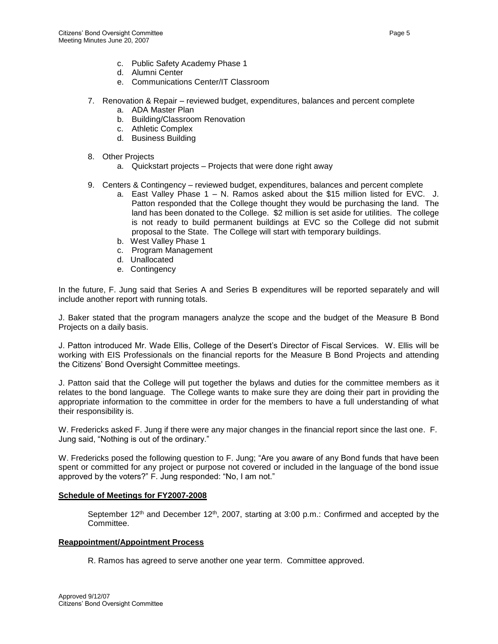- c. Public Safety Academy Phase 1
- d. Alumni Center
- e. Communications Center/IT Classroom
- 7. Renovation & Repair reviewed budget, expenditures, balances and percent complete
	- a. ADA Master Plan
	- b. Building/Classroom Renovation
	- c. Athletic Complex
	- d. Business Building
- 8. Other Projects
	- a. Quickstart projects Projects that were done right away
- 9. Centers & Contingency reviewed budget, expenditures, balances and percent complete
	- a. East Valley Phase 1 N. Ramos asked about the \$15 million listed for EVC. J. Patton responded that the College thought they would be purchasing the land. The land has been donated to the College. \$2 million is set aside for utilities. The college is not ready to build permanent buildings at EVC so the College did not submit proposal to the State. The College will start with temporary buildings.
	- b. West Valley Phase 1
	- c. Program Management
	- d. Unallocated
	- e. Contingency

In the future, F. Jung said that Series A and Series B expenditures will be reported separately and will include another report with running totals.

J. Baker stated that the program managers analyze the scope and the budget of the Measure B Bond Projects on a daily basis.

J. Patton introduced Mr. Wade Ellis, College of the Desert's Director of Fiscal Services. W. Ellis will be working with EIS Professionals on the financial reports for the Measure B Bond Projects and attending the Citizens' Bond Oversight Committee meetings.

J. Patton said that the College will put together the bylaws and duties for the committee members as it relates to the bond language. The College wants to make sure they are doing their part in providing the appropriate information to the committee in order for the members to have a full understanding of what their responsibility is.

W. Fredericks asked F. Jung if there were any major changes in the financial report since the last one. F. Jung said, "Nothing is out of the ordinary."

W. Fredericks posed the following question to F. Jung; "Are you aware of any Bond funds that have been spent or committed for any project or purpose not covered or included in the language of the bond issue approved by the voters?" F. Jung responded: "No, I am not."

### **Schedule of Meetings for FY2007-2008**

September  $12<sup>th</sup>$  and December  $12<sup>th</sup>$ , 2007, starting at 3:00 p.m.: Confirmed and accepted by the Committee.

### **Reappointment/Appointment Process**

R. Ramos has agreed to serve another one year term. Committee approved.